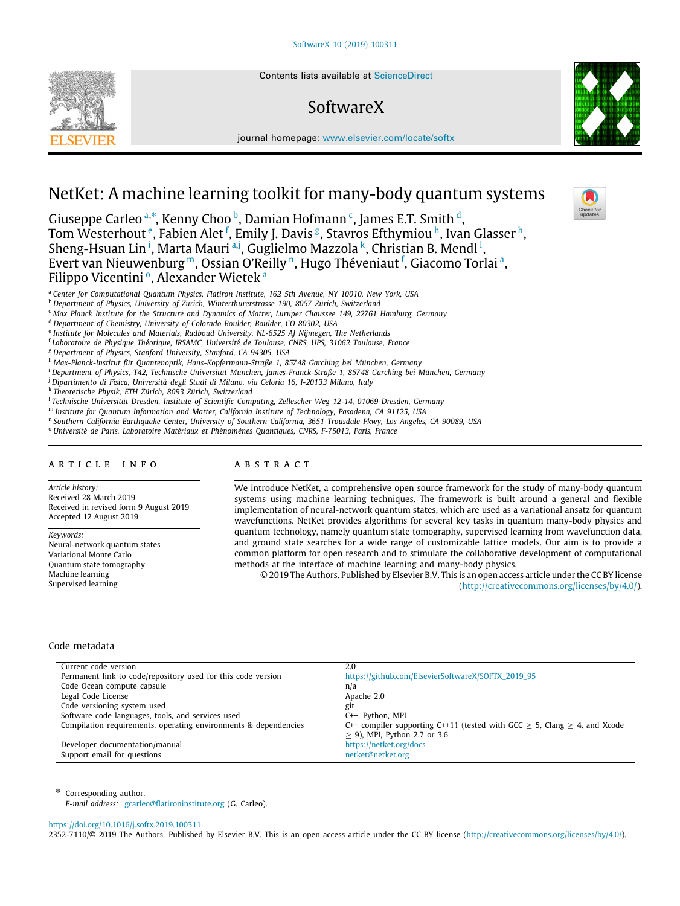Contents lists available at [ScienceDirect](http://www.elsevier.com/locate/softx)

# SoftwareX

journal homepage: [www.elsevier.com/locate/softx](http://www.elsevier.com/locate/softx)



Giuseppe C[a](#page-0-0)rleo <sup>a,[∗](#page-0-1)</sup>, Kenny Choo <sup>[b](#page-0-2)</sup>, Damian Hofmann <sup>[c](#page-0-3)</sup>, James E.T. Smith <sup>[d](#page-0-4)</sup>, Tom W[e](#page-0-5)ster[h](#page-0-8)out  $\mathrm{e}$ , Fabien Alet  $\mathrm{f}$  $\mathrm{f}$  $\mathrm{f}$ , Emily J. Davis  $\mathrm{g}$  $\mathrm{g}$  $\mathrm{g}$ , Stavros Efthymiou  $\mathrm{h}$ , Ivan Glasser  $\mathrm{h}$ , Sheng-Hsuan L[i](#page-0-9)n <sup>i</sup>, M[a](#page-0-0)rta Mauri <sup>a,[j](#page-0-10)</sup>, Guglielmo Mazzola <sup>[k](#page-0-11)</sup>, Christian B. Mend[l](#page-0-12) <sup>l</sup>, Evert van Nieuwenburg [m](#page-0-13), Ossia[n](#page-0-14) O'Reilly n, Hugo Théveniaut <sup>[f](#page-0-6)</sup>, Gi[a](#page-0-0)como Torlai ª, Filipp[o](#page-0-15) Vicentini<sub>º</sub>, Alex[a](#page-0-0)nder Wieteka

<span id="page-0-0"></span><sup>a</sup> *Center for Computational Quantum Physics, Flatiron Institute, 162 5th Avenue, NY 10010, New York, USA*

- <span id="page-0-2"></span><sup>b</sup> *Department of Physics, University of Zurich, Winterthurerstrasse 190, 8057 Zürich, Switzerland*
- <span id="page-0-3"></span><sup>c</sup> *Max Planck Institute for the Structure and Dynamics of Matter, Luruper Chaussee 149, 22761 Hamburg, Germany*
- <span id="page-0-4"></span><sup>d</sup> *Department of Chemistry, University of Colorado Boulder, Boulder, CO 80302, USA*
- <span id="page-0-5"></span>e *Institute for Molecules and Materials, Radboud University, NL-6525 AJ Nijmegen, The Netherlands*
- <span id="page-0-6"></span>f *Laboratoire de Physique Théorique, IRSAMC, Université de Toulouse, CNRS, UPS, 31062 Toulouse, France*

<span id="page-0-7"></span><sup>g</sup> *Department of Physics, Stanford University, Stanford, CA 94305, USA*

<span id="page-0-8"></span><sup>h</sup> *Max-Planck-Institut für Quantenoptik, Hans-Kopfermann-Straße 1, 85748 Garching bei München, Germany*

<span id="page-0-9"></span><sup>i</sup> *Department of Physics, T42, Technische Universität München, James-Franck-Straße 1, 85748 Garching bei München, Germany*

<span id="page-0-10"></span><sup>j</sup> *Dipartimento di Fisica, Università degli Studi di Milano, via Celoria 16, I-20133 Milano, Italy*

<span id="page-0-11"></span>k *Theoretische Physik, ETH Zürich, 8093 Zürich, Switzerland*

<span id="page-0-12"></span>l *Technische Universität Dresden, Institute of Scientific Computing, Zellescher Weg 12-14, 01069 Dresden, Germany*

<span id="page-0-13"></span><sup>m</sup> *Institute for Quantum Information and Matter, California Institute of Technology, Pasadena, CA 91125, USA*

<span id="page-0-14"></span>n *Southern California Earthquake Center, University of Southern California, 3651 Trousdale Pkwy, Los Angeles, CA 90089, USA*

<span id="page-0-15"></span><sup>o</sup> *Université de Paris, Laboratoire Matériaux et Phénomènes Quantiques, CNRS, F-75013, Paris, France*

# a r t i c l e i n f o

SEVIER

*Article history:* Received 28 March 2019 Received in revised form 9 August 2019 Accepted 12 August 2019

*Keywords:* Neural-network quantum states Variational Monte Carlo Quantum state tomography Machine learning Supervised learning

# A B S T R A C T

We introduce NetKet, a comprehensive open source framework for the study of many-body quantum systems using machine learning techniques. The framework is built around a general and flexible implementation of neural-network quantum states, which are used as a variational ansatz for quantum wavefunctions. NetKet provides algorithms for several key tasks in quantum many-body physics and quantum technology, namely quantum state tomography, supervised learning from wavefunction data, and ground state searches for a wide range of customizable lattice models. Our aim is to provide a common platform for open research and to stimulate the collaborative development of computational methods at the interface of machine learning and many-body physics.

© 2019 The Authors. Published by Elsevier B.V. This is an open access article under the CC BY license [\(http://creativecommons.org/licenses/by/4.0/](http://creativecommons.org/licenses/by/4.0/)).

#### Code metadata

| 2.0                                                                            |
|--------------------------------------------------------------------------------|
| https://github.com/ElsevierSoftwareX/SOFTX_2019_95                             |
| n/a                                                                            |
| Apache 2.0                                                                     |
| git                                                                            |
| C++, Python, MPI                                                               |
| C++ compiler supporting C++11 (tested with GCC $> 5$ , Clang $> 4$ , and Xcode |
| $\geq$ 9), MPI, Python 2.7 or 3.6                                              |
| https://netket.org/docs                                                        |
| netket@netket.org                                                              |
|                                                                                |

<span id="page-0-1"></span>Corresponding author.

*E-mail address:* [gcarleo@flatironinstitute.org](mailto:gcarleo@flatironinstitute.org) (G. Carleo).

#### <https://doi.org/10.1016/j.softx.2019.100311>

2352-7110/© 2019 The Authors. Published by Elsevier B.V. This is an open access article under the CC BY license ([http://creativecommons.org/licenses/by/4.0/\)](http://creativecommons.org/licenses/by/4.0/).



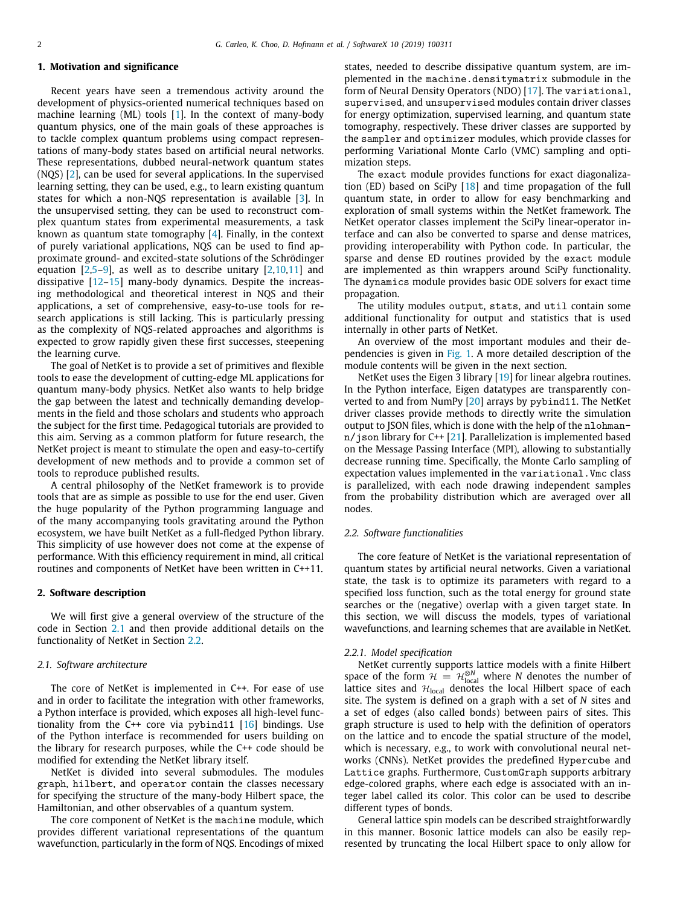# **1. Motivation and significance**

Recent years have seen a tremendous activity around the development of physics-oriented numerical techniques based on machine learning (ML) tools [\[1\]](#page-6-0). In the context of many-body quantum physics, one of the main goals of these approaches is to tackle complex quantum problems using compact representations of many-body states based on artificial neural networks. These representations, dubbed neural-network quantum states (NQS) [[2\]](#page-6-1), can be used for several applications. In the supervised learning setting, they can be used, e.g., to learn existing quantum states for which a non-NQS representation is available [\[3\]](#page-6-2). In the unsupervised setting, they can be used to reconstruct complex quantum states from experimental measurements, a task known as quantum state tomography [[4](#page-6-3)]. Finally, in the context of purely variational applications, NQS can be used to find approximate ground- and excited-state solutions of the Schrödinger equation  $[2,5-9]$  $[2,5-9]$  $[2,5-9]$  $[2,5-9]$ , as well as to describe unitary  $[2,10,11]$  $[2,10,11]$  $[2,10,11]$  $[2,10,11]$  and dissipative [[12–](#page-6-8)[15\]](#page-6-9) many-body dynamics. Despite the increasing methodological and theoretical interest in NQS and their applications, a set of comprehensive, easy-to-use tools for research applications is still lacking. This is particularly pressing as the complexity of NQS-related approaches and algorithms is expected to grow rapidly given these first successes, steepening the learning curve.

The goal of NetKet is to provide a set of primitives and flexible tools to ease the development of cutting-edge ML applications for quantum many-body physics. NetKet also wants to help bridge the gap between the latest and technically demanding developments in the field and those scholars and students who approach the subject for the first time. Pedagogical tutorials are provided to this aim. Serving as a common platform for future research, the NetKet project is meant to stimulate the open and easy-to-certify development of new methods and to provide a common set of tools to reproduce published results.

A central philosophy of the NetKet framework is to provide tools that are as simple as possible to use for the end user. Given the huge popularity of the Python programming language and of the many accompanying tools gravitating around the Python ecosystem, we have built NetKet as a full-fledged Python library. This simplicity of use however does not come at the expense of performance. With this efficiency requirement in mind, all critical routines and components of NetKet have been written in C++11.

# **2. Software description**

We will first give a general overview of the structure of the code in Section [2.1](#page-1-0) and then provide additional details on the functionality of NetKet in Section [2.2](#page-1-1).

## *2.1. Software architecture*

<span id="page-1-0"></span>The core of NetKet is implemented in C++. For ease of use and in order to facilitate the integration with other frameworks, a Python interface is provided, which exposes all high-level functionality from the C++ core via pybind11  $[16]$  bindings. Use of the Python interface is recommended for users building on the library for research purposes, while the C++ code should be modified for extending the NetKet library itself.

NetKet is divided into several submodules. The modules graph, hilbert, and operator contain the classes necessary for specifying the structure of the many-body Hilbert space, the Hamiltonian, and other observables of a quantum system.

The core component of NetKet is the machine module, which provides different variational representations of the quantum wavefunction, particularly in the form of NQS. Encodings of mixed states, needed to describe dissipative quantum system, are implemented in the machine.densitymatrix submodule in the form of Neural Density Operators (NDO) [[17](#page-6-11)]. The variational, supervised, and unsupervised modules contain driver classes for energy optimization, supervised learning, and quantum state tomography, respectively. These driver classes are supported by the sampler and optimizer modules, which provide classes for performing Variational Monte Carlo (VMC) sampling and optimization steps.

The exact module provides functions for exact diagonalization (ED) based on SciPy [\[18\]](#page-6-12) and time propagation of the full quantum state, in order to allow for easy benchmarking and exploration of small systems within the NetKet framework. The NetKet operator classes implement the SciPy linear-operator interface and can also be converted to sparse and dense matrices, providing interoperability with Python code. In particular, the sparse and dense ED routines provided by the exact module are implemented as thin wrappers around SciPy functionality. The dynamics module provides basic ODE solvers for exact time propagation.

The utility modules output, stats, and util contain some additional functionality for output and statistics that is used internally in other parts of NetKet.

An overview of the most important modules and their dependencies is given in [Fig.](#page-2-0) [1.](#page-2-0) A more detailed description of the module contents will be given in the next section.

NetKet uses the Eigen 3 library [[19](#page-6-13)] for linear algebra routines. In the Python interface, Eigen datatypes are transparently converted to and from NumPy [\[20\]](#page-6-14) arrays by pybind11. The NetKet driver classes provide methods to directly write the simulation output to JSON files, which is done with the help of the nlohman $n/j$ son library for C++ [[21](#page-6-15)]. Parallelization is implemented based on the Message Passing Interface (MPI), allowing to substantially decrease running time. Specifically, the Monte Carlo sampling of expectation values implemented in the variational.Vmc class is parallelized, with each node drawing independent samples from the probability distribution which are averaged over all nodes.

## *2.2. Software functionalities*

<span id="page-1-1"></span>The core feature of NetKet is the variational representation of quantum states by artificial neural networks. Given a variational state, the task is to optimize its parameters with regard to a specified loss function, such as the total energy for ground state searches or the (negative) overlap with a given target state. In this section, we will discuss the models, types of variational wavefunctions, and learning schemes that are available in NetKet.

#### *2.2.1. Model specification*

NetKet currently supports lattice models with a finite Hilbert space of the form  $\mathcal{H} = \mathcal{H}_{local}^{\otimes N}$  where *N* denotes the number of lattice sites and  $H<sub>local</sub>$  denotes the local Hilbert space of each site. The system is defined on a graph with a set of *N* sites and a set of edges (also called bonds) between pairs of sites. This graph structure is used to help with the definition of operators on the lattice and to encode the spatial structure of the model, which is necessary, e.g., to work with convolutional neural networks (CNNs). NetKet provides the predefined Hypercube and Lattice graphs. Furthermore, CustomGraph supports arbitrary edge-colored graphs, where each edge is associated with an integer label called its color. This color can be used to describe different types of bonds.

General lattice spin models can be described straightforwardly in this manner. Bosonic lattice models can also be easily represented by truncating the local Hilbert space to only allow for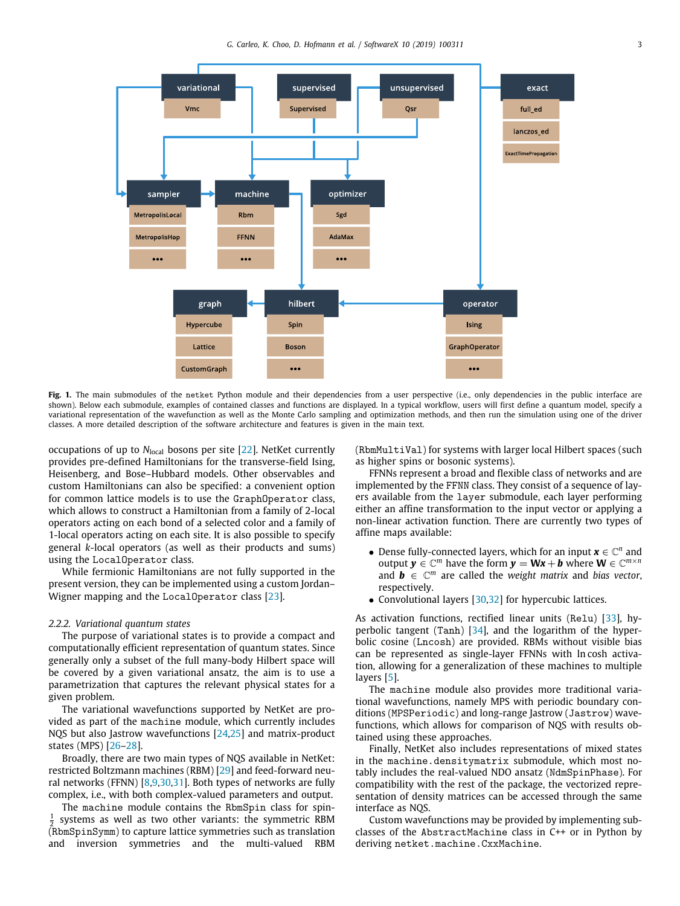

<span id="page-2-0"></span>Fig. 1. The main submodules of the netket Python module and their dependencies from a user perspective (i.e., only dependencies in the public interface are shown). Below each submodule, examples of contained classes and functions are displayed. In a typical workflow, users will first define a quantum model, specify a variational representation of the wavefunction as well as the Monte Carlo sampling and optimization methods, and then run the simulation using one of the driver classes. A more detailed description of the software architecture and features is given in the main text.

occupations of up to *N*<sub>local</sub> bosons per site [[22](#page-6-16)]. NetKet currently provides pre-defined Hamiltonians for the transverse-field Ising, Heisenberg, and Bose–Hubbard models. Other observables and custom Hamiltonians can also be specified: a convenient option for common lattice models is to use the GraphOperator class, which allows to construct a Hamiltonian from a family of 2-local operators acting on each bond of a selected color and a family of 1-local operators acting on each site. It is also possible to specify general *k*-local operators (as well as their products and sums) using the LocalOperator class.

While fermionic Hamiltonians are not fully supported in the present version, they can be implemented using a custom Jordan– Wigner mapping and the LocalOperator class [\[23\]](#page-6-17).

#### *2.2.2. Variational quantum states*

The purpose of variational states is to provide a compact and computationally efficient representation of quantum states. Since generally only a subset of the full many-body Hilbert space will be covered by a given variational ansatz, the aim is to use a parametrization that captures the relevant physical states for a given problem.

The variational wavefunctions supported by NetKet are provided as part of the machine module, which currently includes NQS but also Jastrow wavefunctions [\[24,](#page-6-18)[25](#page-6-19)] and matrix-product states (MPS) [\[26–](#page-6-20)[28](#page-6-21)].

Broadly, there are two main types of NQS available in NetKet: restricted Boltzmann machines (RBM) [\[29](#page-6-22)] and feed-forward neural networks (FFNN) [[8](#page-6-23)[,9](#page-6-5)[,30,](#page-6-24)[31](#page-6-25)]. Both types of networks are fully complex, i.e., with both complex-valued parameters and output.

The machine module contains the RbmSpin class for spin-1 2 (RbmSpinSymm) to capture lattice symmetries such as translation systems as well as two other variants: the symmetric RBM and inversion symmetries and the multi-valued RBM (RbmMultiVal) for systems with larger local Hilbert spaces (such as higher spins or bosonic systems).

FFNNs represent a broad and flexible class of networks and are implemented by the FFNN class. They consist of a sequence of layers available from the layer submodule, each layer performing either an affine transformation to the input vector or applying a non-linear activation function. There are currently two types of affine maps available:

- Dense fully-connected layers, which for an input  $\mathbf{x} \in \mathbb{C}^n$  and output  $y \in \mathbb{C}^m$  have the form  $y = Wx + b$  where  $W \in \mathbb{C}^{m \times n}$ and  $\mathbf{b} \in \mathbb{C}^m$  are called the *weight matrix* and *bias vector*, respectively.
- Convolutional layers [\[30](#page-6-24)[,32\]](#page-6-26) for hypercubic lattices.

As activation functions, rectified linear units (Relu) [[33](#page-6-27)], hyperbolic tangent (Tanh) [[34](#page-6-28)], and the logarithm of the hyperbolic cosine (Lncosh) are provided. RBMs without visible bias can be represented as single-layer FFNNs with ln cosh activation, allowing for a generalization of these machines to multiple layers [\[5\]](#page-6-4).

The machine module also provides more traditional variational wavefunctions, namely MPS with periodic boundary conditions (MPSPeriodic) and long-range Jastrow (Jastrow) wavefunctions, which allows for comparison of NQS with results obtained using these approaches.

Finally, NetKet also includes representations of mixed states in the machine.densitymatrix submodule, which most notably includes the real-valued NDO ansatz (NdmSpinPhase). For compatibility with the rest of the package, the vectorized representation of density matrices can be accessed through the same interface as NQS.

Custom wavefunctions may be provided by implementing subclasses of the AbstractMachine class in C++ or in Python by deriving netket.machine.CxxMachine.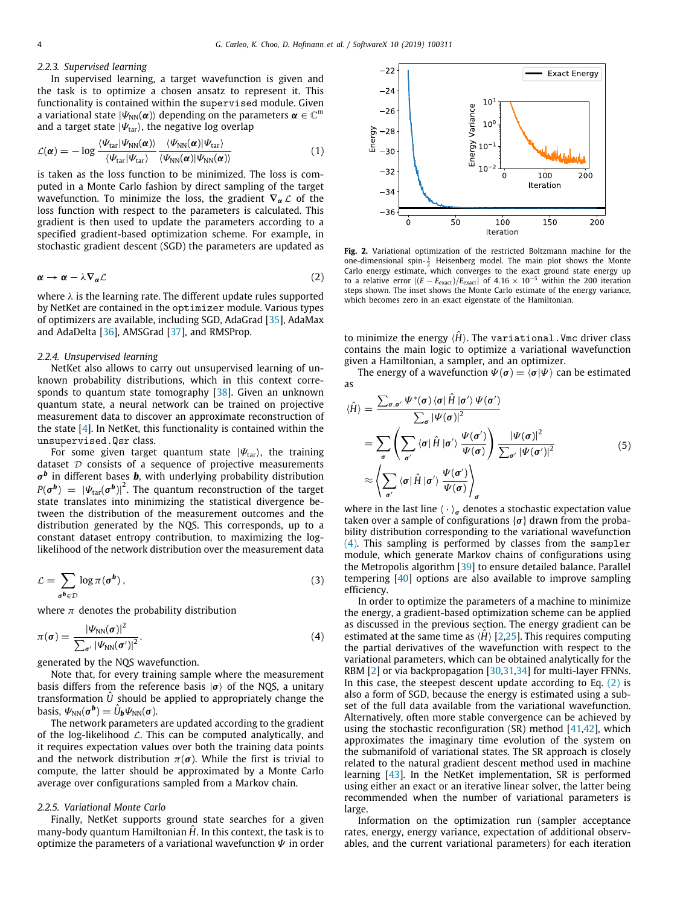#### *2.2.3. Supervised learning*

In supervised learning, a target wavefunction is given and the task is to optimize a chosen ansatz to represent it. This functionality is contained within the supervised module. Given a variational state  $|\varPsi_{\rm NN}({\bm\alpha})\rangle$  depending on the parameters  ${\bm\alpha}\in{\mathbb C}^m$ and a target state  $|\Psi_{\text{tar}}\rangle$ , the negative log overlap

$$
\mathcal{L}(\boldsymbol{\alpha}) = -\log \frac{\langle \Psi_{\text{tar}} | \Psi_{\text{NN}}(\boldsymbol{\alpha}) \rangle}{\langle \Psi_{\text{tar}} | \Psi_{\text{tar}} \rangle} \frac{\langle \Psi_{\text{NN}}(\boldsymbol{\alpha}) | \Psi_{\text{tar}} \rangle}{\langle \Psi_{\text{NN}}(\boldsymbol{\alpha}) | \Psi_{\text{NN}}(\boldsymbol{\alpha}) \rangle}
$$
(1)

is taken as the loss function to be minimized. The loss is computed in a Monte Carlo fashion by direct sampling of the target wavefunction. To minimize the loss, the gradient  $\nabla_{\alpha} \mathcal{L}$  of the loss function with respect to the parameters is calculated. This gradient is then used to update the parameters according to a specified gradient-based optimization scheme. For example, in stochastic gradient descent (SGD) the parameters are updated as

$$
\alpha \to \alpha - \lambda \nabla_{\alpha} \mathcal{L}
$$
 (2)

where  $\lambda$  is the learning rate. The different update rules supported by NetKet are contained in the optimizer module. Various types of optimizers are available, including SGD, AdaGrad [[35](#page-6-29)], AdaMax and AdaDelta [\[36\]](#page-6-30), AMSGrad [\[37](#page-7-0)], and RMSProp.

## *2.2.4. Unsupervised learning*

NetKet also allows to carry out unsupervised learning of unknown probability distributions, which in this context corresponds to quantum state tomography [[38](#page-7-1)]. Given an unknown quantum state, a neural network can be trained on projective measurement data to discover an approximate reconstruction of the state [[4\]](#page-6-3). In NetKet, this functionality is contained within the unsupervised.Qsr class.

For some given target quantum state  $|\Psi_{\text{tar}}\rangle$ , the training dataset  $D$  consists of a sequence of projective measurements σ *b* in different bases *b*, with underlying probability distribution  $P(\pmb{\sigma^b})~=~\left| \varPsi_{\text{tar}}(\pmb{\sigma^b}) \right|^2$ . The quantum reconstruction of the target state translates into minimizing the statistical divergence between the distribution of the measurement outcomes and the distribution generated by the NQS. This corresponds, up to a constant dataset entropy contribution, to maximizing the loglikelihood of the network distribution over the measurement data

$$
\mathcal{L} = \sum_{\sigma^b \in \mathcal{D}} \log \pi(\sigma^b) \,, \tag{3}
$$

where  $\pi$  denotes the probability distribution

$$
\pi(\boldsymbol{\sigma}) = \frac{|\Psi_{NN}(\boldsymbol{\sigma})|^2}{\sum_{\boldsymbol{\sigma}'} |\Psi_{NN}(\boldsymbol{\sigma}')|^2}.
$$
\n(4)

generated by the NQS wavefunction.

Note that, for every training sample where the measurement basis differs from the reference basis  $|\sigma\rangle$  of the NQS, a unitary transformation  $\hat{U}$  should be applied to appropriately change the basis,  $\Psi_{\rm NN}(\sigma^{\bm b}) = \hat{U}_{\bm b} \Psi_{\rm NN}(\sigma)$ .

The network parameters are updated according to the gradient of the log-likelihood  $\mathcal{L}$ . This can be computed analytically, and it requires expectation values over both the training data points and the network distribution  $\pi(\sigma)$ . While the first is trivial to compute, the latter should be approximated by a Monte Carlo average over configurations sampled from a Markov chain.

# *2.2.5. Variational Monte Carlo*

Finally, NetKet supports ground state searches for a given many-body quantum Hamiltonian *H*. In this context, the task is to optimize the parameters of a variational wavefunction  $\Psi$  in order

<span id="page-3-3"></span>

<span id="page-3-2"></span><span id="page-3-1"></span>**Fig. 2.** Variational optimization of the restricted Boltzmann machine for the one-dimensional spin- $\frac{1}{2}$  Heisenberg model. The main plot shows the Monte Carlo energy estimate, which converges to the exact ground state energy up to a relative error  $|(E - E_{\text{exact}})/E_{\text{exact}}|$  of 4.16 × 10<sup>-5</sup> within the 200 iteration steps shown. The inset shows the Monte Carlo estimate of the energy variance, which becomes zero in an exact eigenstate of the Hamiltonian.

to minimize the energy  $\langle H \rangle$ . The variational. Vmc driver class contains the main logic to optimize a variational wavefunction given a Hamiltonian, a sampler, and an optimizer.

The energy of a wavefunction  $\Psi(\sigma) = \langle \sigma | \Psi \rangle$  can be estimated as

$$
\langle \hat{H} \rangle = \frac{\sum_{\sigma, \sigma'} \Psi^*(\sigma) \langle \sigma | \hat{H} | \sigma' \rangle \Psi(\sigma')}{\sum_{\sigma} |\Psi(\sigma)|^2}
$$
  
= 
$$
\sum_{\sigma} \left( \sum_{\sigma'} \langle \sigma | \hat{H} | \sigma' \rangle \frac{\Psi(\sigma')}{\Psi(\sigma)} \right) \frac{|\Psi(\sigma)|^2}{\sum_{\sigma'} |\Psi(\sigma')|^2}
$$
  

$$
\approx \left\langle \sum_{\sigma'} \langle \sigma | \hat{H} | \sigma' \rangle \frac{\Psi(\sigma')}{\Psi(\sigma)} \right\rangle_{\sigma}
$$
 (5)

where in the last line  $\langle \cdot \rangle_{\sigma}$  denotes a stochastic expectation value taken over a sample of configurations  $\{\sigma\}$  drawn from the probability distribution corresponding to the variational wavefunction ([4\)](#page-3-0). This sampling is performed by classes from the sampler module, which generate Markov chains of configurations using the Metropolis algorithm [[39](#page-7-2)] to ensure detailed balance. Parallel tempering [\[40\]](#page-7-3) options are also available to improve sampling efficiency.

<span id="page-3-0"></span>In order to optimize the parameters of a machine to minimize the energy, a gradient-based optimization scheme can be applied as discussed in the previous section. The energy gradient can be estimated at the same time as  $\langle H \rangle$  [\[2](#page-6-1)[,25\]](#page-6-19). This requires computing the partial derivatives of the wavefunction with respect to the variational parameters, which can be obtained analytically for the RBM [\[2\]](#page-6-1) or via backpropagation [\[30,](#page-6-24)[31](#page-6-25)[,34\]](#page-6-28) for multi-layer FFNNs. In this case, the steepest descent update according to Eq.  $(2)$  $(2)$  is also a form of SGD, because the energy is estimated using a subset of the full data available from the variational wavefunction. Alternatively, often more stable convergence can be achieved by using the stochastic reconfiguration (SR) method [[41](#page-7-4)[,42\]](#page-7-5), which approximates the imaginary time evolution of the system on the submanifold of variational states. The SR approach is closely related to the natural gradient descent method used in machine learning [[43](#page-7-6)]. In the NetKet implementation, SR is performed using either an exact or an iterative linear solver, the latter being recommended when the number of variational parameters is large.

Information on the optimization run (sampler acceptance rates, energy, energy variance, expectation of additional observables, and the current variational parameters) for each iteration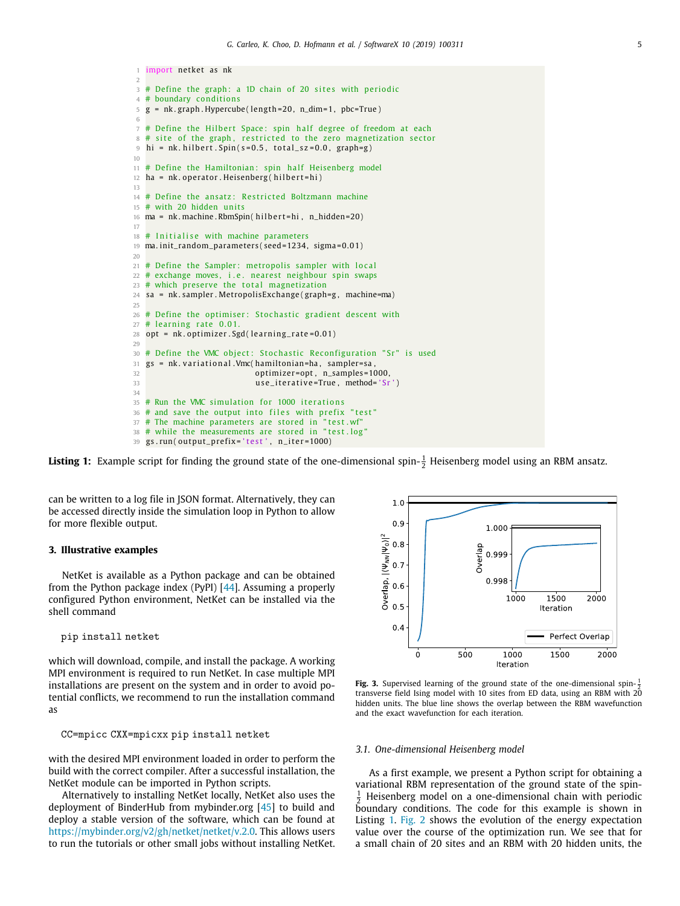```
1 import netket as nk
 \overline{2}3 # Define the graph: a 1D chain of 20 sites with periodic
 4 # boundary conditions
 5 g = nk . graph . Hypercube ( length =20 , n_dim=1 , pbc=True )
 6
 7 # Define the Hilbert Space: spin half degree of freedom at each
 8 # site of the graph, restricted to the zero magnetization sector \theta hi = nk hilbert Snin(s=0.5 total sz=0.0 graph=\theta)
   hi = nk. hilbert. Spin (s=0.5, \text{ total}_s z = 0.0, \text{ graph}=g)
10
11 # Define the Hamiltonian: spin half Heisenberg model
12 ha = nk. operator. Heisenberg (hilbert=hi)
13
14 # Define the ansatz: Restricted Boltzmann machine
15 # with 20 hidden units
16 ma = nk. machine. RbmSpin( hilbert=hi, n_hidden=20)
17
18 \# Initialise with machine parameters
19 ma. init_random_parameters (seed=1234, sigma=0.01)
20
21 # Define the Sampler: metropolis sampler with local
22 # exchange moves, i.e. nearest neighbour spin swaps
23 # which preserve the total magnetization
24 sa = nk . sampler . MetropolisExchange ( graph=g , machine=ma)
25
26 \# Define the optimiser: Stochastic gradient descent with
27 \# learning rate 0.01
28 opt = nk. optimizer. Sgd (learning_rate=0.01)
29
30 # Define the VMC object: Stochastic Reconfiguration "Sr" is used
31 gs = nk. variational. Vmc(hamiltonian=ha, sampler=sa,
32 optimizer=opt, n_samples=1000,
33 use_iterative=True, method= 'Sr')
34
35 # Run the VMC simulation for 1000 iterations
36 # and save the output into files with prefix "test"
37 # The machine parameters are stored in "test.wf"
38 # while the measurements are stored in "test.log"
39 gs.run(output_prefix='test', n_iter=1000)
```
**Listing 1:** Example script for finding the ground state of the one-dimensional spin- $\frac{1}{2}$  Heisenberg model using an RBM ansatz.

can be written to a log file in JSON format. Alternatively, they can be accessed directly inside the simulation loop in Python to allow for more flexible output.

## **3. Illustrative examples**

NetKet is available as a Python package and can be obtained from the Python package index (PyPI) [[44](#page-7-7)]. Assuming a properly configured Python environment, NetKet can be installed via the shell command

pip install netket

which will download, compile, and install the package. A working MPI environment is required to run NetKet. In case multiple MPI installations are present on the system and in order to avoid potential conflicts, we recommend to run the installation command as

CC=mpicc CXX=mpicxx pip install netket

with the desired MPI environment loaded in order to perform the build with the correct compiler. After a successful installation, the NetKet module can be imported in Python scripts.

Alternatively to installing NetKet locally, NetKet also uses the deployment of BinderHub from mybinder.org [[45](#page-7-8)] to build and deploy a stable version of the software, which can be found at <https://mybinder.org/v2/gh/netket/netket/v.2.0>. This allows users to run the tutorials or other small jobs without installing NetKet.



<span id="page-4-1"></span>**Fig. 3.** Supervised learning of the ground state of the one-dimensional spin- $\frac{1}{2}$ **Experiment** cannons of the ground state of the one dimensional spin  $\frac{1}{2}$  transverse field Ising model with 10 sites from ED data, using an RBM with 20 hidden units. The blue line shows the overlap between the RBM wavefunction and the exact wavefunction for each iteration.

#### *3.1. One-dimensional Heisenberg model*

As a first example, we present a Python script for obtaining a variational RBM representation of the ground state of the spin- $\frac{1}{2}$  Heisenberg model on a one-dimensional chain with periodic boundary conditions. The code for this example is shown in Listing [1](#page-4-0). [Fig.](#page-3-2) [2](#page-3-2) shows the evolution of the energy expectation value over the course of the optimization run. We see that for a small chain of 20 sites and an RBM with 20 hidden units, the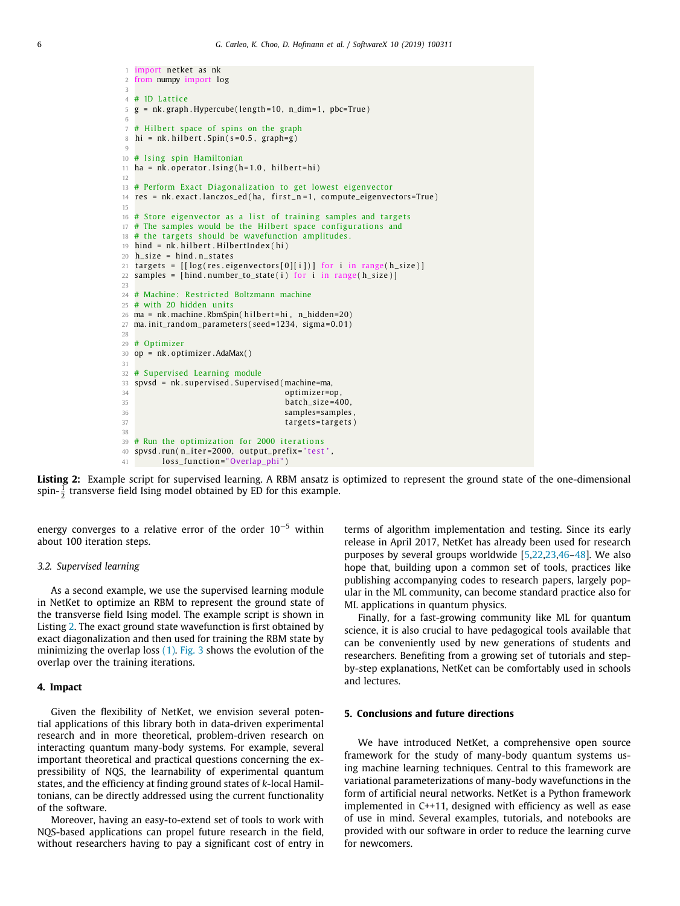```
1 import netket as nk
2 from numpy import log
 3
4 # 1D L a t t i c e
5 g = nk . graph . Hypercube ( length =10 , n_dim=1 , pbc=True )
 6
7 # Hilbert space of spins on the graph
 8 hi = nk. hilbert. Spin (s=0.5, graph=g)9
10 \# Ising spin Hamiltonian
11 ha = nk. operator. Ising(h=1.0, hilbert=hi)12
13 # Perform Exact Diagonalization to get lowest eigenvector
14 res = nk. exact. lanczos_ed (ha, first_n=1, compute_eigenvectors=True)
15
16 \# Store eigenvector as a list of training samples and targets
17 # The samples would be the Hilbert space configurations and
18 \# the targets should be wavefunction amplitudes.
19 hind = nk. hilbert. HilbertIndex(hi)
20 h_size = hind.n_states
21 targets = \left[\frac{\log(\text{res. eigenvectors}[0][i])}{\log(\text{res. eigenvectors}[i][i])}\right] for i in range(h\_size)22 samples = [hind.number_to_state(i) for i in range(h_size)]
2324 # Machine: Restricted Boltzmann machine
25 # with 20 hidden units
26 ma = nk. machine. RbmSpin( hilbert=hi, n_hidden=20)
27 ma. init_random_parameters (seed=1234, sigma=0.01)
28
29 # Optimizer
30 op = nk. optimizer. AdaMax()31
32 # Supervised Learning module
33 spvsd = nk . superv ised . Superv ised (machine=ma,
34 optimizer=op,
35 b atch \frac{\text{size}}{35}36 samples = samples , samples = samples , samples = samples , samples , samples , samples , samples , samples , \sim37 targets=targets)
38
39 \# Run the optimization for 2000 iterations
40 spvsd.run(n_iter=2000, output_prefix='test',
41 loss_function="Overlap_phi")
```
**Listing 2:** Example script for supervised learning. A RBM ansatz is optimized to represent the ground state of the one-dimensional spin- $\frac{1}{2}$  transverse field Ising model obtained by ED for this example.

energy converges to a relative error of the order 10−<sup>5</sup> within about 100 iteration steps.

#### *3.2. Supervised learning*

As a second example, we use the supervised learning module in NetKet to optimize an RBM to represent the ground state of the transverse field Ising model. The example script is shown in Listing [2](#page-5-0). The exact ground state wavefunction is first obtained by exact diagonalization and then used for training the RBM state by minimizing the overlap loss ([1](#page-3-3)). [Fig.](#page-4-1) [3](#page-4-1) shows the evolution of the overlap over the training iterations.

## **4. Impact**

Given the flexibility of NetKet, we envision several potential applications of this library both in data-driven experimental research and in more theoretical, problem-driven research on interacting quantum many-body systems. For example, several important theoretical and practical questions concerning the expressibility of NQS, the learnability of experimental quantum states, and the efficiency at finding ground states of *k*-local Hamiltonians, can be directly addressed using the current functionality of the software.

Moreover, having an easy-to-extend set of tools to work with NQS-based applications can propel future research in the field, without researchers having to pay a significant cost of entry in terms of algorithm implementation and testing. Since its early release in April 2017, NetKet has already been used for research purposes by several groups worldwide [\[5](#page-6-4)[,22,](#page-6-16)[23](#page-6-17)[,46–](#page-7-9)[48](#page-7-10)]. We also hope that, building upon a common set of tools, practices like publishing accompanying codes to research papers, largely popular in the ML community, can become standard practice also for ML applications in quantum physics.

Finally, for a fast-growing community like ML for quantum science, it is also crucial to have pedagogical tools available that can be conveniently used by new generations of students and researchers. Benefiting from a growing set of tutorials and stepby-step explanations, NetKet can be comfortably used in schools and lectures.

# **5. Conclusions and future directions**

We have introduced NetKet, a comprehensive open source framework for the study of many-body quantum systems using machine learning techniques. Central to this framework are variational parameterizations of many-body wavefunctions in the form of artificial neural networks. NetKet is a Python framework implemented in C++11, designed with efficiency as well as ease of use in mind. Several examples, tutorials, and notebooks are provided with our software in order to reduce the learning curve for newcomers.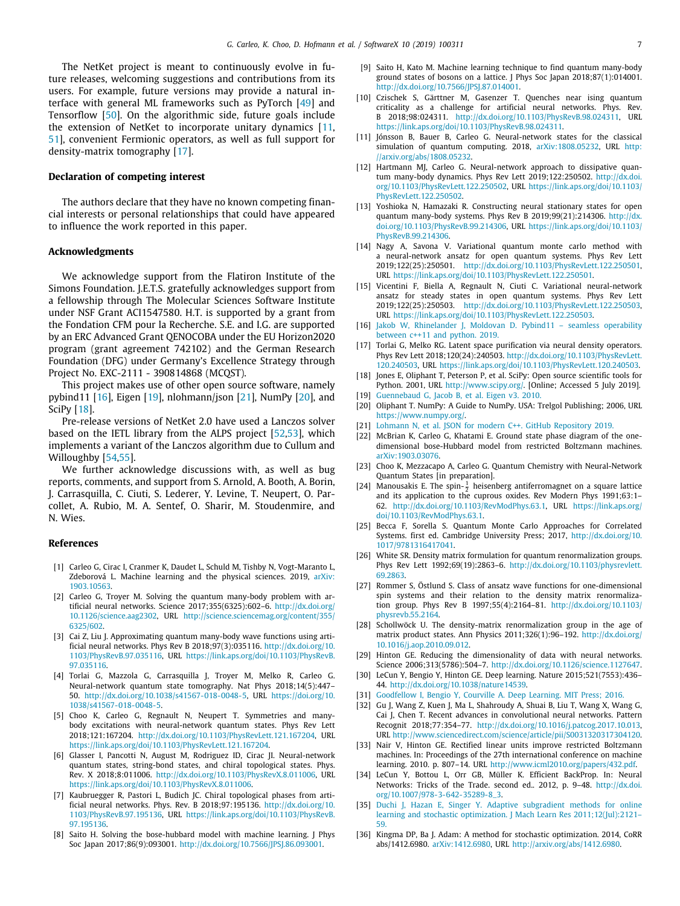The NetKet project is meant to continuously evolve in future releases, welcoming suggestions and contributions from its users. For example, future versions may provide a natural interface with general ML frameworks such as PyTorch [[49\]](#page-7-11) and Tensorflow [[50](#page-7-12)]. On the algorithmic side, future goals include the extension of NetKet to incorporate unitary dynamics [\[11,](#page-6-7) [51](#page-7-13)], convenient Fermionic operators, as well as full support for density-matrix tomography [\[17\]](#page-6-11).

# **Declaration of competing interest**

The authors declare that they have no known competing financial interests or personal relationships that could have appeared to influence the work reported in this paper.

# **Acknowledgments**

We acknowledge support from the Flatiron Institute of the Simons Foundation. J.E.T.S. gratefully acknowledges support from a fellowship through The Molecular Sciences Software Institute under NSF Grant ACI1547580. H.T. is supported by a grant from the Fondation CFM pour la Recherche. S.E. and I.G. are supported by an ERC Advanced Grant QENOCOBA under the EU Horizon2020 program (grant agreement 742102) and the German Research Foundation (DFG) under Germany's Excellence Strategy through Project No. EXC-2111 - 390814868 (MCQST).

This project makes use of other open source software, namely pybind11 [[16](#page-6-10)], Eigen [\[19\]](#page-6-13), nlohmann/json [[21](#page-6-15)], NumPy [[20](#page-6-14)], and SciPy [\[18\]](#page-6-12).

Pre-release versions of NetKet 2.0 have used a Lanczos solver based on the IETL library from the ALPS project [\[52,](#page-7-14)[53](#page-7-15)], which implements a variant of the Lanczos algorithm due to Cullum and Willoughby [[54](#page-7-16)[,55](#page-7-17)].

We further acknowledge discussions with, as well as bug reports, comments, and support from S. Arnold, A. Booth, A. Borin, J. Carrasquilla, C. Ciuti, S. Lederer, Y. Levine, T. Neupert, O. Parcollet, A. Rubio, M. A. Sentef, O. Sharir, M. Stoudenmire, and N. Wies.

#### **References**

- <span id="page-6-0"></span>[1] Carleo G, Cirac I, Cranmer K, Daudet L, Schuld M, Tishby N, Vogt-Maranto L, Zdeborová L. Machine learning and the physical sciences. 2019, [arXiv:](http://arxiv.org/abs/1903.10563) [1903.10563.](http://arxiv.org/abs/1903.10563)
- <span id="page-6-1"></span>[2] Carleo G, Troyer M. Solving the quantum many-body problem with artificial neural networks. Science 2017;355(6325):602–6. [http://dx.doi.org/](http://dx.doi.org/10.1126/science.aag2302) [10.1126/science.aag2302](http://dx.doi.org/10.1126/science.aag2302), URL [http://science.sciencemag.org/content/355/](http://science.sciencemag.org/content/355/6325/602) [6325/602.](http://science.sciencemag.org/content/355/6325/602)
- <span id="page-6-2"></span>[3] Cai Z, Liu J. Approximating quantum many-body wave functions using artificial neural networks. Phys Rev B 2018;97(3):035116. [http://dx.doi.org/10.](http://dx.doi.org/10.1103/PhysRevB.97.035116) [1103/PhysRevB.97.035116,](http://dx.doi.org/10.1103/PhysRevB.97.035116) URL [https://link.aps.org/doi/10.1103/PhysRevB.](https://link.aps.org/doi/10.1103/PhysRevB.97.035116) [97.035116](https://link.aps.org/doi/10.1103/PhysRevB.97.035116).
- <span id="page-6-3"></span>[4] Torlai G, Mazzola G, Carrasquilla J, Troyer M, Melko R, Carleo G. Neural-network quantum state tomography. Nat Phys 2018;14(5):447– 50. <http://dx.doi.org/10.1038/s41567-018-0048-5>, URL [https://doi.org/10.](https://doi.org/10.1038/s41567-018-0048-5) [1038/s41567-018-0048-5.](https://doi.org/10.1038/s41567-018-0048-5)
- <span id="page-6-4"></span>[5] Choo K, Carleo G, Regnault N, Neupert T. Symmetries and manybody excitations with neural-network quantum states. Phys Rev Lett 2018;121:167204. [http://dx.doi.org/10.1103/PhysRevLett.121.167204,](http://dx.doi.org/10.1103/PhysRevLett.121.167204) URL <https://link.aps.org/doi/10.1103/PhysRevLett.121.167204>.
- [6] Glasser I, Pancotti N, August M, Rodriguez ID, Cirac JI. Neural-network quantum states, string-bond states, and chiral topological states. Phys. Rev. X 2018;8:011006. <http://dx.doi.org/10.1103/PhysRevX.8.011006>, URL <https://link.aps.org/doi/10.1103/PhysRevX.8.011006>.
- [7] Kaubruegger R, Pastori L, Budich JC. Chiral topological phases from artificial neural networks. Phys. Rev. B 2018;97:195136. [http://dx.doi.org/10.](http://dx.doi.org/10.1103/PhysRevB.97.195136) [1103/PhysRevB.97.195136,](http://dx.doi.org/10.1103/PhysRevB.97.195136) URL [https://link.aps.org/doi/10.1103/PhysRevB.](https://link.aps.org/doi/10.1103/PhysRevB.97.195136) [97.195136](https://link.aps.org/doi/10.1103/PhysRevB.97.195136).
- <span id="page-6-23"></span>[8] Saito H. Solving the bose-hubbard model with machine learning. J Phys Soc Japan 2017;86(9):093001. <http://dx.doi.org/10.7566/JPSJ.86.093001>.
- <span id="page-6-5"></span>[9] Saito H, Kato M. Machine learning technique to find quantum many-body ground states of bosons on a lattice. J Phys Soc Japan 2018;87(1):014001. [http://dx.doi.org/10.7566/JPSJ.87.014001.](http://dx.doi.org/10.7566/JPSJ.87.014001)
- <span id="page-6-6"></span>[10] Czischek S, Gärttner M, Gasenzer T. Quenches near ising quantum criticality as a challenge for artificial neural networks. Phys. Rev. B 2018;98:024311. <http://dx.doi.org/10.1103/PhysRevB.98.024311>, URL [https://link.aps.org/doi/10.1103/PhysRevB.98.024311.](https://link.aps.org/doi/10.1103/PhysRevB.98.024311)
- <span id="page-6-7"></span>[11] Jónsson B, Bauer B, Carleo G. Neural-network states for the classical simulation of quantum computing. 2018, [arXiv:1808.05232,](http://arxiv.org/abs/1808.05232) URL [http:](http://arxiv.org/abs/1808.05232) [//arxiv.org/abs/1808.05232](http://arxiv.org/abs/1808.05232).
- <span id="page-6-8"></span>[12] Hartmann MI, Carleo G. Neural-network approach to dissipative quantum many-body dynamics. Phys Rev Lett 2019;122:250502. [http://dx.doi.](http://dx.doi.org/10.1103/PhysRevLett.122.250502) [org/10.1103/PhysRevLett.122.250502](http://dx.doi.org/10.1103/PhysRevLett.122.250502), URL [https://link.aps.org/doi/10.1103/](https://link.aps.org/doi/10.1103/PhysRevLett.122.250502) [PhysRevLett.122.250502.](https://link.aps.org/doi/10.1103/PhysRevLett.122.250502)
- [13] Yoshioka N, Hamazaki R. Constructing neural stationary states for open quantum many-body systems. Phys Rev B 2019;99(21):214306. [http://dx.](http://dx.doi.org/10.1103/PhysRevB.99.214306) [doi.org/10.1103/PhysRevB.99.214306,](http://dx.doi.org/10.1103/PhysRevB.99.214306) URL [https://link.aps.org/doi/10.1103/](https://link.aps.org/doi/10.1103/PhysRevB.99.214306) [PhysRevB.99.214306](https://link.aps.org/doi/10.1103/PhysRevB.99.214306).
- [14] Nagy A, Savona V. Variational quantum monte carlo method with a neural-network ansatz for open quantum systems. Phys Rev Lett 2019;122(25):250501. <http://dx.doi.org/10.1103/PhysRevLett.122.250501>, URL <https://link.aps.org/doi/10.1103/PhysRevLett.122.250501>.
- <span id="page-6-9"></span>[15] Vicentini F, Biella A, Regnault N, Ciuti C. Variational neural-network ansatz for steady states in open quantum systems. Phys Rev Lett 2019;122(25):250503. <http://dx.doi.org/10.1103/PhysRevLett.122.250503>, URL <https://link.aps.org/doi/10.1103/PhysRevLett.122.250503>.
- <span id="page-6-10"></span>[16] [Jakob W, Rhinelander J, Moldovan D. Pybind11 – seamless operability](http://refhub.elsevier.com/S2352-7110(19)30097-4/sb16) [between c++11 and python. 2019.](http://refhub.elsevier.com/S2352-7110(19)30097-4/sb16)
- <span id="page-6-11"></span>[17] Torlai G, Melko RG. Latent space purification via neural density operators. Phys Rev Lett 2018;120(24):240503. [http://dx.doi.org/10.1103/PhysRevLett.](http://dx.doi.org/10.1103/PhysRevLett.120.240503) [120.240503,](http://dx.doi.org/10.1103/PhysRevLett.120.240503) URL <https://link.aps.org/doi/10.1103/PhysRevLett.120.240503>.
- <span id="page-6-12"></span>[18] Jones E, Oliphant T, Peterson P, et al. SciPy: Open source scientific tools for Python. 2001, URL [http://www.scipy.org/.](http://www.scipy.org/) [Online; Accessed 5 July 2019]. [19] [Guennebaud G, Jacob B, et al. Eigen v3. 2010.](http://refhub.elsevier.com/S2352-7110(19)30097-4/sb19)
- <span id="page-6-14"></span><span id="page-6-13"></span>[20] Oliphant T. NumPy: A Guide to NumPy. USA: Trelgol Publishing; 2006, URL <https://www.numpy.org/>.
- <span id="page-6-15"></span>[21] [Lohmann N, et al. JSON for modern C++. GitHub Repository 2019.](http://refhub.elsevier.com/S2352-7110(19)30097-4/sb21)
- <span id="page-6-16"></span>[22] McBrian K, Carleo G, Khatami E. Ground state phase diagram of the onedimensional bose-Hubbard model from restricted Boltzmann machines. [arXiv:1903.03076](http://arxiv.org/abs/1903.03076).
- <span id="page-6-17"></span>[23] Choo K, Mezzacapo A, Carleo G. Quantum Chemistry with Neural-Network Quantum States [in preparation].
- <span id="page-6-18"></span>[24] Manousakis E. The spin- $\frac{1}{2}$  heisenberg antiferromagnet on a square lattice and its application to the cuprous oxides. Rev Modern Phys 1991;63:1– 62. [http://dx.doi.org/10.1103/RevModPhys.63.1,](http://dx.doi.org/10.1103/RevModPhys.63.1) URL [https://link.aps.org/](https://link.aps.org/doi/10.1103/RevModPhys.63.1) [doi/10.1103/RevModPhys.63.1.](https://link.aps.org/doi/10.1103/RevModPhys.63.1)
- <span id="page-6-19"></span>[25] Becca F, Sorella S. Quantum Monte Carlo Approaches for Correlated Systems. first ed. Cambridge University Press; 2017, [http://dx.doi.org/10.](http://dx.doi.org/10.1017/9781316417041) [1017/9781316417041](http://dx.doi.org/10.1017/9781316417041).
- <span id="page-6-20"></span>[26] White SR. Density matrix formulation for quantum renormalization groups. Phys Rev Lett 1992;69(19):2863–6. [http://dx.doi.org/10.1103/physrevlett.](http://dx.doi.org/10.1103/physrevlett.69.2863) [69.2863](http://dx.doi.org/10.1103/physrevlett.69.2863).
- [27] Rommer S, Östlund S. Class of ansatz wave functions for one-dimensional spin systems and their relation to the density matrix renormalization group. Phys Rev B 1997;55(4):2164–81. [http://dx.doi.org/10.1103/](http://dx.doi.org/10.1103/physrevb.55.2164) [physrevb.55.2164](http://dx.doi.org/10.1103/physrevb.55.2164).
- <span id="page-6-21"></span>[28] Schollwöck U. The density-matrix renormalization group in the age of matrix product states. Ann Physics 2011;326(1):96–192. [http://dx.doi.org/](http://dx.doi.org/10.1016/j.aop.2010.09.012) [10.1016/j.aop.2010.09.012.](http://dx.doi.org/10.1016/j.aop.2010.09.012)
- <span id="page-6-22"></span>[29] Hinton GE. Reducing the dimensionality of data with neural networks. Science 2006;313(5786):504–7. <http://dx.doi.org/10.1126/science.1127647>.
- <span id="page-6-24"></span>[30] LeCun Y, Bengio Y, Hinton GE. Deep learning. Nature 2015;521(7553):436– 44. [http://dx.doi.org/10.1038/nature14539.](http://dx.doi.org/10.1038/nature14539)
- <span id="page-6-25"></span>[31] Goodfellow I, Bengio Y, Courville A, Deep Learning, MIT Press: 2016.
- <span id="page-6-26"></span>[32] Gu J, Wang Z, Kuen J, Ma L, Shahroudy A, Shuai B, Liu T, Wang X, Wang G, Cai J, Chen T. Recent advances in convolutional neural networks. Pattern Recognit 2018;77:354–77. <http://dx.doi.org/10.1016/j.patcog.2017.10.013>, URL <http://www.sciencedirect.com/science/article/pii/S0031320317304120>.
- <span id="page-6-27"></span>[33] Nair V, Hinton GE. Rectified linear units improve restricted Boltzmann machines. In: Proceedings of the 27th international conference on machine learning. 2010. p. 807–14. URL [http://www.icml2010.org/papers/432.pdf.](http://www.icml2010.org/papers/432.pdf)
- <span id="page-6-28"></span>[34] LeCun Y, Bottou L, Orr GB, Müller K. Efficient BackProp. In: Neural Networks: Tricks of the Trade. second ed.. 2012, p. 9–48. [http://dx.doi.](http://dx.doi.org/10.1007/978-3-642-35289-8_3) [org/10.1007/978-3-642-35289-8\\_3](http://dx.doi.org/10.1007/978-3-642-35289-8_3).
- <span id="page-6-29"></span>[35] [Duchi J, Hazan E, Singer Y. Adaptive subgradient methods for online](http://refhub.elsevier.com/S2352-7110(19)30097-4/sb35) [learning and stochastic optimization. J Mach Learn Res 2011;12\(Jul\):2121–](http://refhub.elsevier.com/S2352-7110(19)30097-4/sb35) [59.](http://refhub.elsevier.com/S2352-7110(19)30097-4/sb35)
- <span id="page-6-30"></span>[36] Kingma DP, Ba J. Adam: A method for stochastic optimization. 2014, CoRR abs/1412.6980. [arXiv:1412.6980,](http://arxiv.org/abs/1412.6980) URL <http://arxiv.org/abs/1412.6980>.